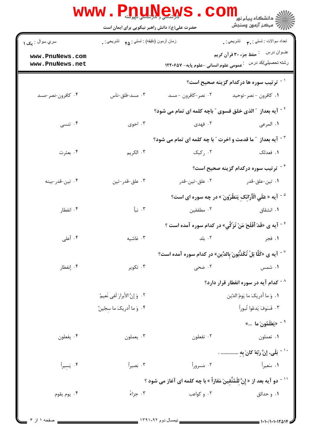|                                    | <b>WWW. Philinew</b><br>حضرت علی(ع): دانش راهبر نیکویی برای ایمان است |                                                                                 | د دانشگاه پيام نو <mark>ر</mark><br>چ=مرکز آزمون وسنجش                                   |
|------------------------------------|-----------------------------------------------------------------------|---------------------------------------------------------------------------------|------------------------------------------------------------------------------------------|
| سري سوال : <sub>ي</sub> ک ۱        | زمان أزمون (دقيقه) : تستي : ۴۵ – تشريحي : .                           |                                                                                 | تعداد سوالات : تستبي : ٩. تشريحي : .                                                     |
| www.PnuNews.com<br>www.PnuNews.net |                                                                       |                                                                                 | رشته تحصيلي/كد درس۔ : عمومی علوم انسانی –علوم پايه– ١٢٢٠۶۵٧                              |
|                                    |                                                                       |                                                                                 | <sup>1</sup> <sup>-</sup> ترتیب سوره ها درکدام گزینه صحیح است؟                           |
| ۰۴ کافرون-نصر-مسد                  | ۰۳ مسد-فلق-ناس                                                        | ۰۲ نصر-کافرون - مسد                                                             | ۰۱ كافرون - نصر-توحيد                                                                    |
|                                    |                                                                       | <sup>۲ -</sup> آیه بعداز ″ الذی خلق فسوی ″ باچه کلمه ای تمام می شود؟            |                                                                                          |
| ۰۴ تنسی                            | ۰۳ احوی                                                               | ۲. فهدی                                                                         | ١. المرعى                                                                                |
|                                    |                                                                       | <sup>۳ -</sup> آیه بعداز ″ما قدمت و اخرت ″ با چه کلمه ای تمام می شود؟           |                                                                                          |
| ۰۴ بعثرت                           | ۰۳ الکريم                                                             | ۰۲ رکبک                                                                         | ١. فعدلک                                                                                 |
|                                    |                                                                       |                                                                                 | <sup>۴ -</sup> ترتیب سوره درکدام گزینه صحیح است؟                                         |
| ۰۴ تين-قدر-بينه                    | ۰۳ علق-قدر-تين                                                        | ۰۲ علق-تين-قدر                                                                  | ۰۱ تین-علق-قدر                                                                           |
|                                    |                                                                       |                                                                                 | <sup>۵ -</sup> آيه « عَلَي الْأَرَائِكِ يَنظُرُونَ » در چه سوره اي است؟                  |
| ۰۴ انفطار                          | ۰۳ نبأ                                                                | ۰۲ مطففین $\sim$                                                                | ۰۱ انشقاق                                                                                |
|                                    |                                                                       |                                                                                 | <sup>۶ -</sup> آیه ی «قَدْ أَفْلَحَ مَنْ تَزَكَّي» در کدام سوره آمده است ؟               |
| ۰۴ أعلى                            | ۰۳ غاشیه                                                              | ۰۲ بلد                                                                          | ۱. فجر                                                                                   |
|                                    |                                                                       |                                                                                 | $^{\circ}$ اً یه ی «کَلَّا بَلْ تُکَذَّبُونَ بِالدِّین» در کدام سوره آمده است $^{\circ}$ |
| ۰۴ إنفطار                          | ۰۳ تکویر                                                              | ۰۲ ضحی                                                                          | ۰۱ شمس                                                                                   |
|                                    |                                                                       |                                                                                 | د - کدام آیه در سوره انفطار قرار دارد $^{\circ}$                                         |
|                                    | ٢. وَ إِنَّ الأبرارَ لَفي نَعيمٌ                                      |                                                                                 | ٠١ وَ ما أدريكَ ما يَومُ الدّين                                                          |
|                                    | ۰۴ وَ ما أدريكَ ما سِجّينٌ                                            |                                                                                 | ٠٣ فَسَوفَ يَدعُوا ثُبوراً                                                               |
|                                    |                                                                       |                                                                                 | <sup>۹ -</sup> «يَعْلَمُونَ ما »                                                         |
| ۰۴ يفعلون                          | ۰۳ يعملون                                                             | ۰۲ تفعلون                                                                       | ۰۱ تعملون                                                                                |
|                                    |                                                                       |                                                                                 | <sup>۱۰ -</sup> بَلَى، إِنَّ رَبَّهُ كانَ بِهِ  .                                        |
| ۰۴ يَسِيراً                        | ۰۳ بَصيراً                                                            | ۰۲ مَسروراً                                                                     | ۰۱ سَعِيراً                                                                              |
|                                    |                                                                       | ّ ` ` - دو آيه بعد از « إنَّ للْمُتَّقينَ مَفازاً » با چه كلمه اي آغاز مي شود ؟ |                                                                                          |
| ۰۴ يوم يقوم                        | ۰۳ جزاءً                                                              | ۰۲ و کواعب                                                                      | ۰۱ و حدائق                                                                               |
|                                    |                                                                       |                                                                                 |                                                                                          |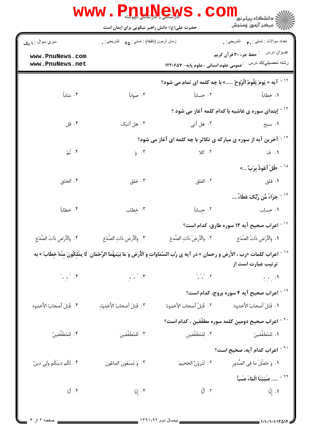|                                                                                                                                                                    | <b>لارشتسی و حراست با بار این</b><br>حضرت علی(ع): دانش راهبر نیکویی برای ایمان است                                                                               |                                                                                                       | ڪ دانشڪاه پيام نور<br>7- مرڪز آزمون وسنڊش                                 |  |
|--------------------------------------------------------------------------------------------------------------------------------------------------------------------|------------------------------------------------------------------------------------------------------------------------------------------------------------------|-------------------------------------------------------------------------------------------------------|---------------------------------------------------------------------------|--|
| سري سوال : ۱ يک                                                                                                                                                    | زمان أزمون (دقيقه) : تستي : ۴۵ — تشريحي : .                                                                                                                      |                                                                                                       | تعداد سوالات : تستي : پم       تشريحي : .                                 |  |
| www.PnuNews.com<br>www.PnuNews.net                                                                                                                                 |                                                                                                                                                                  |                                                                                                       | عنــوان درس<br><sup>:</sup> حفظ جزء ۳۰ قرآن کریم                          |  |
|                                                                                                                                                                    |                                                                                                                                                                  |                                                                                                       | <sup>۱۲ -</sup> آیه « یَومَ یَقُومُ الّرُوحُ » با چه کلمه ای تمام می شود؟ |  |
| ۰۴ مَئاباً                                                                                                                                                         | ۰۳ صَواباً                                                                                                                                                       |                                                                                                       | ١. خِطاباً مساباً مساباً                                                  |  |
|                                                                                                                                                                    |                                                                                                                                                                  |                                                                                                       | <sup>۱۳ -</sup> إبتدای سوره ی غاشیه با کدام کلمه آغاز می شود ؟            |  |
| ۰۴ قل                                                                                                                                                              | ۰۳ هل أتيک                                                                                                                                                       | ۰۲ هل أتي                                                                                             | ۱. سبح                                                                    |  |
|                                                                                                                                                                    | <sup>۱۴ -</sup> آخرین آیه از سوره ی مبارکه ی تکاثر با چه کلمه ای آغاز می شود؟                                                                                    |                                                                                                       |                                                                           |  |
| ۰۴ تُمّ                                                                                                                                                            | $\zeta$ . ۳                                                                                                                                                      | ۰۲ کلا                                                                                                | <b>ا.</b> فَ                                                              |  |
|                                                                                                                                                                    |                                                                                                                                                                  |                                                                                                       | <sup>10 -</sup> «قُلْ أَعُوذُ بِرَبٍّ »                                   |  |
| ۰۴ الخلق                                                                                                                                                           | ۰۳ خلق                                                                                                                                                           | ۰۲ الفلق                                                                                              | ۰۱ فلق                                                                    |  |
|                                                                                                                                                                    |                                                                                                                                                                  |                                                                                                       | <sup>۱۶ -</sup> جَز <sup>َ</sup> اءً مِّن رَبَّکَ عَطَاءً                 |  |
| ۰۴ خطاباً                                                                                                                                                          | ۰۳ خِطاب                                                                                                                                                         | ٢. حِساباً                                                                                            | ۰۱ جِساب                                                                  |  |
|                                                                                                                                                                    |                                                                                                                                                                  |                                                                                                       | <sup>۱۷ -</sup> اعراب صحیح آیه ۱۲ سوره طارق، کدام است؟                    |  |
| ۰۴ وَالْأَرْضِ ذَاتَ الصَّدْعِ                                                                                                                                     | ٠٣ وَالْأَرضِ ذَاتِ الصَّدْعِ                                                                                                                                    | ٢. وَالْأَرِضَ ذَاتِ الصَّدعَ                                                                         | ٠١. وَالْأَرْضِ ذَاتُ الصَّدْعِ                                           |  |
| اعراب كلمات «رب ، الأرض و رحمان » در آيه ي رَّب السَّمَاوَاتِ وَ الْأَرْض وَ مَا بَيْنهُمَا الرَّحْمَان ۖ لَا يمْلِكُونَ مِنْهُ خِطَابً » به<br>ترتیب عبارت است از |                                                                                                                                                                  |                                                                                                       |                                                                           |  |
|                                                                                                                                                                    | $\begin{array}{ccc}\n\mathcal{L} & \mathcal{L} & \mathcal{L} \\ \mathcal{L} & \mathcal{L} & \mathcal{L} \\ \mathcal{L} & \mathcal{L} & \mathcal{L}\n\end{array}$ |                                                                                                       |                                                                           |  |
|                                                                                                                                                                    | <sup>۱۹ -</sup> اعراب صحیح آیه ۴ سوره بروج، کدام است؟                                                                                                            |                                                                                                       |                                                                           |  |
| ۴. قُتِلَ أصحابُ الأَخدودِ                                                                                                                                         | ٢. قَتِلَ أصحابُ الأَخدوُدِ                                                                                                                                      |                                                                                                       | ١. قَتَلَ أصحابُ الأَخدودَ مسمح ٢. قُتِلُ أصحابَ الأخدودُ                 |  |
|                                                                                                                                                                    |                                                                                                                                                                  |                                                                                                       | <sup>۲۰ -</sup> اعراب صحیح دومین کلمه سوره مطفّفین ، کدام است؟            |  |
| ۴. لِلمُطَفِّفينُ                                                                                                                                                  | ۰۳ لَلمُطَفِّفين <sup>َ</sup>                                                                                                                                    |                                                                                                       |                                                                           |  |
|                                                                                                                                                                    |                                                                                                                                                                  |                                                                                                       | <sup>۲۱ -</sup> اعراب کدام آیه، صحیح است؟                                 |  |
| ۴. لَكُم دينَكُم وَلِيَ دينٌ                                                                                                                                       | ۰۳ وَ تَمنَعُونَ الماعُونَ                                                                                                                                       | ٢. لَتَرَوُنَّ الجَحيمَ                                                                               | ٠١ وَ حَصِّلَ ما فِى الصُّدورِ                                            |  |
|                                                                                                                                                                    |                                                                                                                                                                  |                                                                                                       | <sup>٢٢ -</sup> صَبَبْنَا الْمَاءَ صَب <sup>َّ</sup>                      |  |
|                                                                                                                                                                    |                                                                                                                                                                  | ١. إِنَّا السَّارَ السَّارَ السَّارَ عَلَيْهِ السَّارَ عَلَيْهِ السَّارَ عَلَيْهِ السَّارَ عَلَيْهِ ا |                                                                           |  |
|                                                                                                                                                                    |                                                                                                                                                                  |                                                                                                       |                                                                           |  |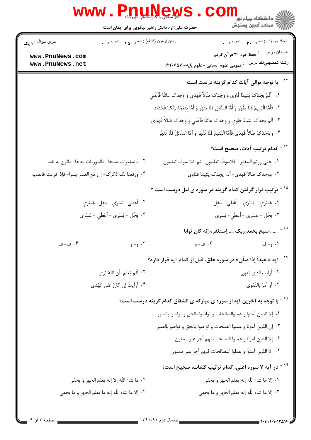|                                                      | <b>WWW.Phunew</b>                                |                                       |                                                                                                                |
|------------------------------------------------------|--------------------------------------------------|---------------------------------------|----------------------------------------------------------------------------------------------------------------|
|                                                      | حضرت علی(ع): دانش راهبر نیکویی برای ایمان است    |                                       | دانشکاه پیام نور<br>ا∛ مرکز آزمون وسنجش                                                                        |
| سري سوال : ۱ يک                                      | زمان أزمون (دقيقه) : تستى : ۴۵ — تشريحي : .      |                                       | تعداد سوالات : تستي : ٣ <b>. ب</b> ه     تشريحي : <sub>.</sub>                                                 |
| www.PnuNews.com<br>www.PnuNews.net                   |                                                  | عمومي علوم انساني -علوم پايه- ١٢٢٠۶٥٧ | عنــوان درس<br><sup>:</sup> حفظ جزء ۳۰ قرآن کریم<br>رشته تحصيلي/كد درس                                         |
|                                                      |                                                  |                                       | <sup>۲۳ -</sup> با توجه توالی آیات کدام گزینه درست است                                                         |
|                                                      |                                                  |                                       | ١.    أَلَمْ يجَدْكَ يَتِيمًا فَاوَي وَ وَجَدَكَ ضَالاًّ فَهَدَي وَ وَجَدَكَ عَائلًا فَأَغْنيَ                 |
|                                                      |                                                  |                                       | ٢ . فَأَمَّا الْيَتِيمَ فَلَا تَقْهَر وَ أَمَّا السَّائلَ فَلَا تَنهْرِ وَ أَمَّا بِنِعْمَهِ رَبِّكَ فَحَدِّث  |
|                                                      |                                                  |                                       | ٣. أَلَمْ يجَدْكَ يَتِيمًا فَاوَي وَ وَجَدَكَ عَائلًا فَأَغْنِيَ وَ وَجَدَكَ ضَالاً فَهَدَى                    |
|                                                      |                                                  |                                       | <sup>4</sup> . وَ وَجَدَكَ ضَالاًّ فَهَدَى فَأَمَّا الْيَتِيمَ فَلَا تَقْهَر وَ أَمَّا السَّائلَ فَلَا تَنهُّر |
|                                                      |                                                  |                                       | <sup>۲۴ -</sup> کدام ترتیب آیات، صحیح است؟                                                                     |
|                                                      | ٢. فالمغيرات صبحا- فالموريات قدحا- فاثرن به نقعا |                                       | <mark>1. ح</mark> تى زرتم المقابر - كلاسوف تعلمون- ثم كلا سوف تعلمون                                           |
| ۰۴ ورفعنا لک ذکرک- إن مع العسر يسرا- فإذا فرغت فانصب |                                                  |                                       | ۰۳ ووجدک ضالا فهدي- ألم يجدک يتيما فئاوي                                                                       |
|                                                      |                                                  |                                       | <sup>۲۵ -</sup> ترتیب قرار گرفتن کدام گزینه در سوره ی لیل درست است ؟                                           |
|                                                      | ٢. أَعْطَي- يُسْرَي - بخِل- عُسْرَي              |                                       | ١. عُسْرَي - يُسْرَي - أَعْطَي - بخِل                                                                          |
|                                                      | ۴. بخِل - يُسْرَي - أَعْطَي - عُسْرَي            | ٠٣ بخَل - عُسْرَي - أَعْطَي- يُسْرَي  |                                                                                                                |
|                                                      |                                                  |                                       | <sup>۲۶ -</sup> سبح بحمد ربک  إستغفره إنه کان توابا                                                            |
| ۴. ف- ف                                              | $e^{-\theta}$ . ۳                                | ۰۲ ف- و                               | ۱. و- ف                                                                                                        |
|                                                      |                                                  |                                       | <sup>۲۷ -</sup> آیه « عَبداً إذا صَلّى» در سوره علق، قبل از کدام آیه قرار دارد؟                                |
|                                                      | ٢. أَلَم يَعلَم بأن اللَّهَ يَري                 |                                       | ٠١. أرايتَ الّذي يَنهي                                                                                         |
|                                                      | ۰۴ أرأيتَ إن كانَ عَلى الهُدى                    |                                       | ۰۳ أو أمَرَ بالتّقوى                                                                                           |
|                                                      |                                                  |                                       | <sup>۲۸ -</sup> با توجه به آخرین آیه از سوره ی مبارکه ی انشقاق کدام گزینه درست است؟                            |
|                                                      |                                                  |                                       | ٠١. إلا الذين آمنوا و عملوالصالحات و تواصوا بالحق و تواصوا بالصبر                                              |
|                                                      |                                                  |                                       | ٠٢ إن الذين آمونا و عملوا الصلحات و تواصوا بالحق و تواصو بالصبر                                                |
|                                                      |                                                  |                                       | ٣٠. إلا الذين آمونا و عملوا الصالحات لهم أجر غير ممنون                                                         |
|                                                      |                                                  |                                       | ۰۴ إلا الذين آمنوا و عملوا الثصالحات فلهم أجر غير ممنون                                                        |
|                                                      |                                                  |                                       | <sup>۲۹ -</sup> در آیه ۷ سوره اعلی، کدام ترتیب کلمات، صحیح است؟                                                |
|                                                      | ٢. ما شاء اللَّه إلا إنه يعلم الجهر و يخفي       |                                       | ٠١. إلا ما شاء اللَّه إنه يعلم الجهر و يخفي                                                                    |
|                                                      | ۴. إلا ما شاء اللّه إنه ما يعلم الجهر و ما يخفي  |                                       | ٠٣ إلا ما شاء اللَّه إنه يعلم الجهر و ما يخفي                                                                  |